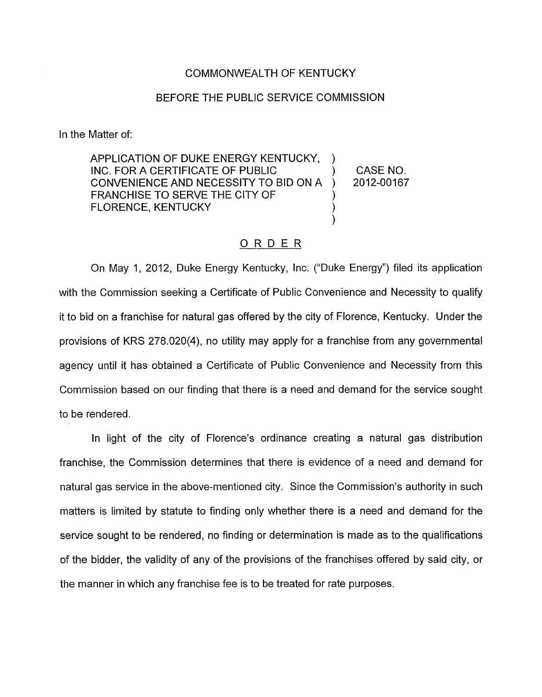## COMMONWEALTH OF KENTUCKY

## BEFORE THE PUBLIC SERVICE COMMISSION

In the Matter of:

APPLICATION OF DUKE ENERGY KENTUCKY, INC. FOR A CERTIFICATE OF PUBLIC ) CASENO. CONVENIENCE AND NECESSITY TO BID ON A ) 2012-00167 FRANCHISE TO SERVE THE CITY OF FLORENCE, KENTUCKY (1999) ) )

## ORDER

On May 1, 2012, Duke Energy Kentucky, Inc. ("Duke Energy") filed its application with the Commission seeking a Certificate of Public Convenience and Necessity to qualify it to bid on a franchise for natural gas offered by the city of Florence, Kentucky. Under the provisions of KRS 278.020(4), no utility may apply for a franchise from any governmental agency until it has obtained a Certificate of Public Convenience and Necessity from this Commission based on our finding that there is a need and demand for the service sought to be rendered.

In light of the city of Florence's ordinance creating a natural gas distribution franchise, the Commission determines that there is evidence of a need and demand for natural gas service in the above-mentioned city. Since the Commission's authority in such matters is limited by statute to finding only whether there is a need and demand for the service sought to be rendered, no finding or determination is made as to the qualifications of the bidder, the validity of any of the provisions of the franchises offered by said city, or the manner in which any franchise fee is to be treated for rate purposes.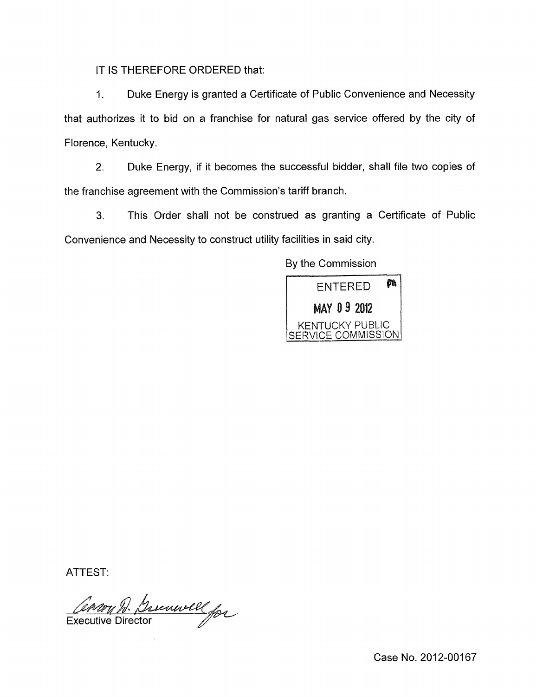IT IS THEREFORE ORDERED that:

1. Duke Energy is granted a Certificate of Public Convenience and Necessity that authorizes it to bid on a franchise for natural gas service offered by the city of Florence, Kentucky.

2. Duke Energy, if it becomes the successful bidder, shall file two copies of the franchise agreement with the Commission's tariff branch.

**3.** This Order shall not be construed as granting a Certificate of Public Convenience and Necessity to construct utility facilities in said city.

By the Commission



ATTEST:

Comm D. Brenwell for